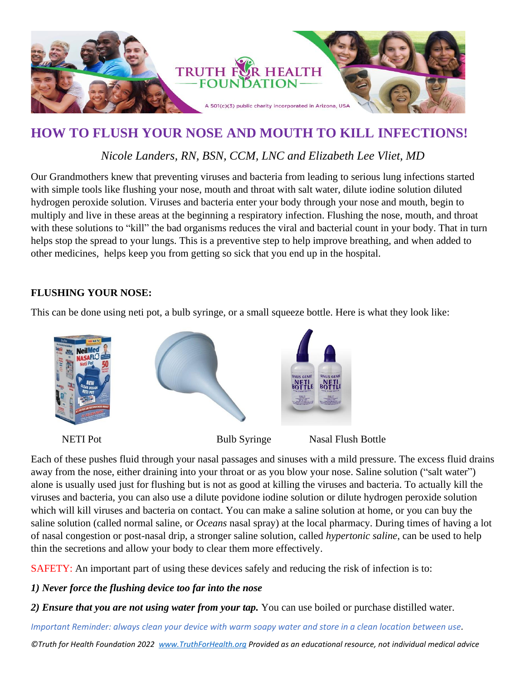

## **HOW TO FLUSH YOUR NOSE AND MOUTH TO KILL INFECTIONS!**

## *Nicole Landers, RN, BSN, CCM, LNC and Elizabeth Lee Vliet, MD*

Our Grandmothers knew that preventing viruses and bacteria from leading to serious lung infections started with simple tools like flushing your nose, mouth and throat with salt water, dilute iodine solution diluted hydrogen peroxide solution. Viruses and bacteria enter your body through your nose and mouth, begin to multiply and live in these areas at the beginning a respiratory infection. Flushing the nose, mouth, and throat with these solutions to "kill" the bad organisms reduces the viral and bacterial count in your body. That in turn helps stop the spread to your lungs. This is a preventive step to help improve breathing, and when added to other medicines, helps keep you from getting so sick that you end up in the hospital.

## **FLUSHING YOUR NOSE:**

This can be done using neti pot, a bulb syringe, or a small squeeze bottle. Here is what they look like:



Each of these pushes fluid through your nasal passages and sinuses with a mild pressure. The excess fluid drains away from the nose, either draining into your throat or as you blow your nose. Saline solution ("salt water") alone is usually used just for flushing but is not as good at killing the viruses and bacteria. To actually kill the viruses and bacteria, you can also use a dilute povidone iodine solution or dilute hydrogen peroxide solution which will kill viruses and bacteria on contact. You can make a saline solution at home, or you can buy the saline solution (called normal saline, or *Oceans* nasal spray) at the local pharmacy. During times of having a lot of nasal congestion or post-nasal drip, a stronger saline solution, called *hypertonic saline*, can be used to help thin the secretions and allow your body to clear them more effectively.

SAFETY: An important part of using these devices safely and reducing the risk of infection is to:

## *1) Never force the flushing device too far into the nose*

*2) Ensure that you are not using water from your tap.* You can use boiled or purchase distilled water.

*Important Reminder: always clean your device with warm soapy water and store in a clean location between use.*

*©Truth for Health Foundation 2022 [www.TruthForHealth.org](http://www.truthforhealth.org/) Provided as an educational resource, not individual medical advice*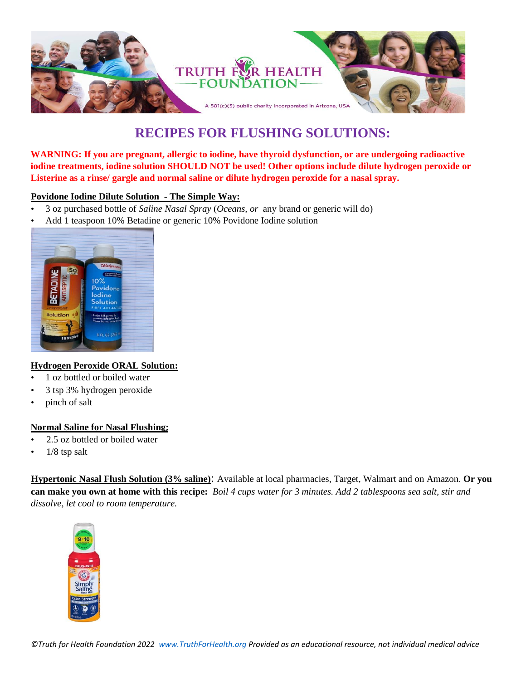

# **RECIPES FOR FLUSHING SOLUTIONS:**

**WARNING: If you are pregnant, allergic to iodine, have thyroid dysfunction, or are undergoing radioactive iodine treatments, iodine solution SHOULD NOT be used! Other options include dilute hydrogen peroxide or Listerine as a rinse/ gargle and normal saline or dilute hydrogen peroxide for a nasal spray.** 

#### **Povidone Iodine Dilute Solution - The Simple Way:**

- 3 oz purchased bottle of *Saline Nasal Spray* (*Oceans, or* any brand or generic will do)
- Add 1 teaspoon 10% Betadine or generic 10% Povidone Iodine solution



#### **Hydrogen Peroxide ORAL Solution:**

- 1 oz bottled or boiled water
- 3 tsp 3% hydrogen peroxide
- pinch of salt

#### **Normal Saline for Nasal Flushing;**

- 2.5 oz bottled or boiled water
- $1/8$  tsp salt

**Hypertonic Nasal Flush Solution (3% saline)**: Available at local pharmacies, Target, Walmart and on Amazon. **Or you can make you own at home with this recipe:** *Boil 4 cups water for 3 minutes. Add 2 tablespoons sea salt, stir and dissolve, let cool to room temperature.*

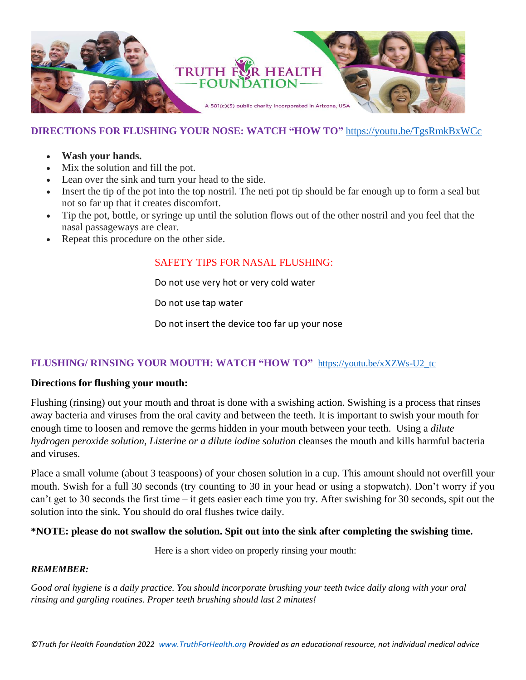

## **DIRECTIONS FOR FLUSHING YOUR NOSE: WATCH "HOW TO"** <https://youtu.be/TgsRmkBxWCc>

- **Wash your hands.**
- Mix the solution and fill the pot.
- Lean over the sink and turn your head to the side.
- Insert the tip of the pot into the top nostril. The neti pot tip should be far enough up to form a seal but not so far up that it creates discomfort.
- Tip the pot, bottle, or syringe up until the solution flows out of the other nostril and you feel that the nasal passageways are clear.
- Repeat this procedure on the other side.

## SAFETY TIPS FOR NASAL FLUSHING:

Do not use very hot or very cold water

Do not use tap water

Do not insert the device too far up your nose

## **FLUSHING/ RINSING YOUR MOUTH: WATCH "HOW TO"** [https://youtu.be/xXZWs-U2\\_tc](https://youtu.be/xXZWs-U2_tc)

#### **Directions for flushing your mouth:**

Flushing (rinsing) out your mouth and throat is done with a swishing action. Swishing is a process that rinses away bacteria and viruses from the oral cavity and between the teeth. It is important to swish your mouth for enough time to loosen and remove the germs hidden in your mouth between your teeth. Using a *dilute hydrogen peroxide solution, Listerine or a dilute iodine solution* cleanses the mouth and kills harmful bacteria and viruses.

Place a small volume (about 3 teaspoons) of your chosen solution in a cup. This amount should not overfill your mouth. Swish for a full 30 seconds (try counting to 30 in your head or using a stopwatch). Don't worry if you can't get to 30 seconds the first time – it gets easier each time you try. After swishing for 30 seconds, spit out the solution into the sink. You should do oral flushes twice daily.

#### **\*NOTE: please do not swallow the solution. Spit out into the sink after completing the swishing time.**

Here is a short video on properly rinsing your mouth:

#### *REMEMBER:*

*Good oral hygiene is a daily practice. You should incorporate brushing your teeth twice daily along with your oral rinsing and gargling routines. Proper teeth brushing should last 2 minutes!*